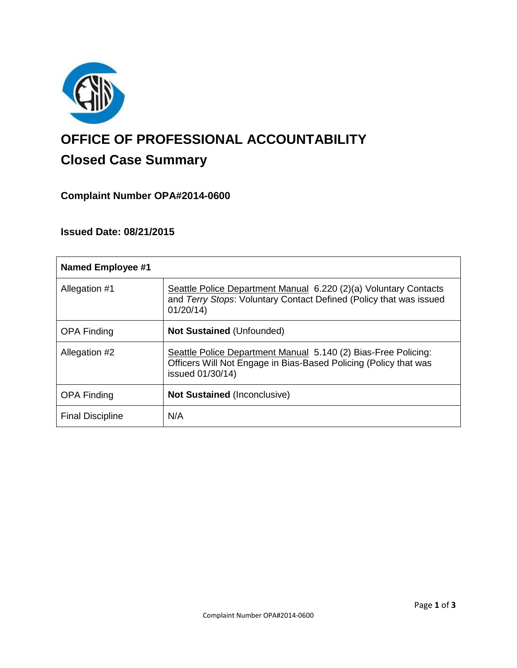

# **OFFICE OF PROFESSIONAL ACCOUNTABILITY Closed Case Summary**

# **Complaint Number OPA#2014-0600**

# **Issued Date: 08/21/2015**

| <b>Named Employee #1</b> |                                                                                                                                                        |
|--------------------------|--------------------------------------------------------------------------------------------------------------------------------------------------------|
| Allegation #1            | Seattle Police Department Manual 6.220 (2)(a) Voluntary Contacts<br>and Terry Stops: Voluntary Contact Defined (Policy that was issued<br>01/20/14     |
| <b>OPA Finding</b>       | <b>Not Sustained (Unfounded)</b>                                                                                                                       |
| Allegation #2            | Seattle Police Department Manual 5.140 (2) Bias-Free Policing:<br>Officers Will Not Engage in Bias-Based Policing (Policy that was<br>issued 01/30/14) |
| <b>OPA Finding</b>       | <b>Not Sustained (Inconclusive)</b>                                                                                                                    |
| <b>Final Discipline</b>  | N/A                                                                                                                                                    |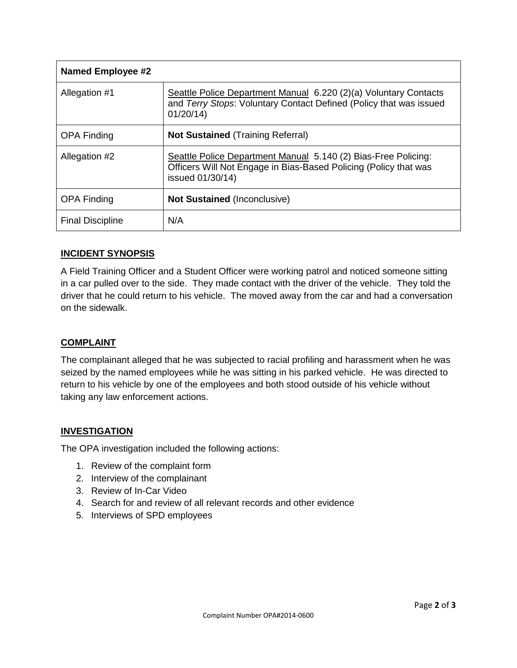| <b>Named Employee #2</b> |                                                                                                                                                        |
|--------------------------|--------------------------------------------------------------------------------------------------------------------------------------------------------|
| Allegation #1            | Seattle Police Department Manual 6.220 (2)(a) Voluntary Contacts<br>and Terry Stops: Voluntary Contact Defined (Policy that was issued<br>01/20/14     |
| <b>OPA Finding</b>       | <b>Not Sustained (Training Referral)</b>                                                                                                               |
| Allegation #2            | Seattle Police Department Manual 5.140 (2) Bias-Free Policing:<br>Officers Will Not Engage in Bias-Based Policing (Policy that was<br>issued 01/30/14) |
| <b>OPA Finding</b>       | <b>Not Sustained (Inconclusive)</b>                                                                                                                    |
| <b>Final Discipline</b>  | N/A                                                                                                                                                    |

# **INCIDENT SYNOPSIS**

A Field Training Officer and a Student Officer were working patrol and noticed someone sitting in a car pulled over to the side. They made contact with the driver of the vehicle. They told the driver that he could return to his vehicle. The moved away from the car and had a conversation on the sidewalk.

# **COMPLAINT**

The complainant alleged that he was subjected to racial profiling and harassment when he was seized by the named employees while he was sitting in his parked vehicle. He was directed to return to his vehicle by one of the employees and both stood outside of his vehicle without taking any law enforcement actions.

# **INVESTIGATION**

The OPA investigation included the following actions:

- 1. Review of the complaint form
- 2. Interview of the complainant
- 3. Review of In-Car Video
- 4. Search for and review of all relevant records and other evidence
- 5. Interviews of SPD employees